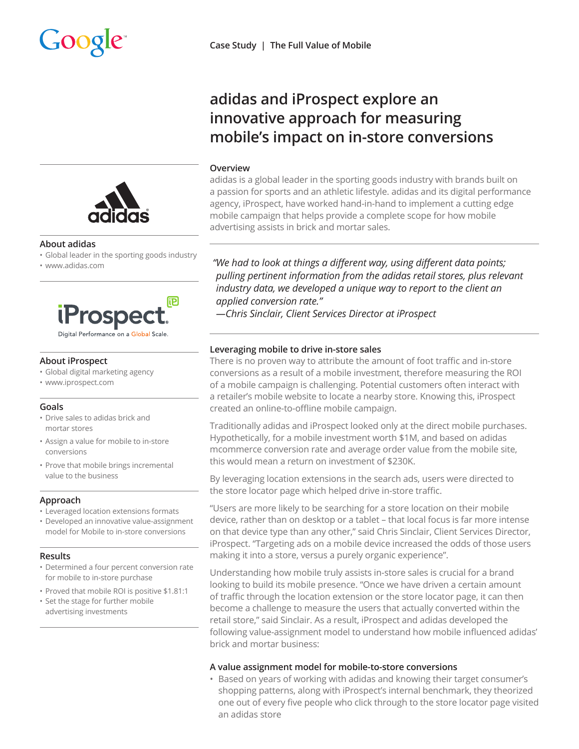



#### **About adidas**

- Global leader in the sporting goods industry
- www.adidas.com



#### **About iProspect**

- Global digital marketing agency
- www.iprospect.com

#### **Goals**

- Drive sales to adidas brick and mortar stores
- Assign a value for mobile to in-store conversions
- Prove that mobile brings incremental value to the business

## **Approach**

- Leveraged location extensions formats
- Developed an innovative value-assignment model for Mobile to in-store conversions

## **Results**

- Determined a four percent conversion rate for mobile to in-store purchase
- Proved that mobile ROI is positive \$1.81:1
- Set the stage for further mobile advertising investments

# **adidas and iProspect explore an innovative approach for measuring mobile's impact on in-store conversions**

## **Overview**

adidas is a global leader in the sporting goods industry with brands built on a passion for sports and an athletic lifestyle. adidas and its digital performance agency, iProspect, have worked hand-in-hand to implement a cutting edge mobile campaign that helps provide a complete scope for how mobile advertising assists in brick and mortar sales.

*"We had to look at things a different way, using different data points; pulling pertinent information from the adidas retail stores, plus relevant industry data, we developed a unique way to report to the client an applied conversion rate."*

*—Chris Sinclair, Client Services Director at iProspect*

# **Leveraging mobile to drive in-store sales**

There is no proven way to attribute the amount of foot traffic and in-store conversions as a result of a mobile investment, therefore measuring the ROI of a mobile campaign is challenging. Potential customers often interact with a retailer's mobile website to locate a nearby store. Knowing this, iProspect created an online-to-offline mobile campaign.

Traditionally adidas and iProspect looked only at the direct mobile purchases. Hypothetically, for a mobile investment worth \$1M, and based on adidas mcommerce conversion rate and average order value from the mobile site, this would mean a return on investment of \$230K.

By leveraging location extensions in the search ads, users were directed to the store locator page which helped drive in-store traffic.

"Users are more likely to be searching for a store location on their mobile device, rather than on desktop or a tablet – that local focus is far more intense on that device type than any other," said Chris Sinclair, Client Services Director, iProspect. "Targeting ads on a mobile device increased the odds of those users making it into a store, versus a purely organic experience".

Understanding how mobile truly assists in-store sales is crucial for a brand looking to build its mobile presence. "Once we have driven a certain amount of traffic through the location extension or the store locator page, it can then become a challenge to measure the users that actually converted within the retail store," said Sinclair. As a result, iProspect and adidas developed the following value-assignment model to understand how mobile influenced adidas' brick and mortar business:

# **A value assignment model for mobile-to-store conversions**

• Based on years of working with adidas and knowing their target consumer's shopping patterns, along with iProspect's internal benchmark, they theorized one out of every five people who click through to the store locator page visited an adidas store